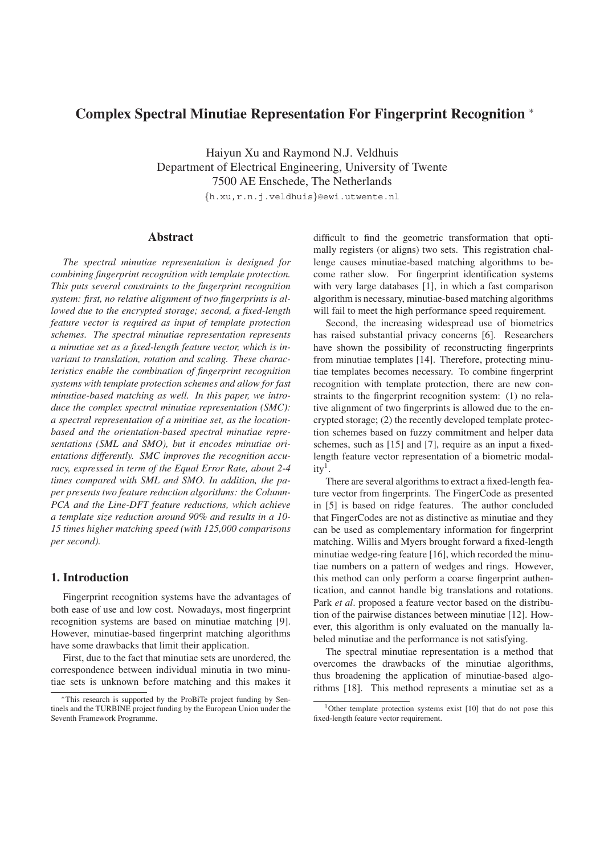# **Complex Spectral Minutiae Representation For Fingerprint Recognition** <sup>∗</sup>

Haiyun Xu and Raymond N.J. Veldhuis Department of Electrical Engineering, University of Twente 7500 AE Enschede, The Netherlands

*{*h.xu,r.n.j.veldhuis*}*@ewi.utwente.nl

# **Abstract**

*The spectral minutiae representation is designed for combining fingerprint recognition with template protection. This puts several constraints to the fingerprint recognition system: first, no relative alignment of two fingerprints is allowed due to the encrypted storage; second, a fixed-length feature vector is required as input of template protection schemes. The spectral minutiae representation represents a minutiae set as a fixed-length feature vector, which is invariant to translation, rotation and scaling. These characteristics enable the combination of fingerprint recognition systems with template protection schemes and allow for fast minutiae-based matching as well. In this paper, we introduce the complex spectral minutiae representation (SMC): a spectral representation of a minitiae set, as the locationbased and the orientation-based spectral minutiae representations (SML and SMO), but it encodes minutiae orientations differently. SMC improves the recognition accuracy, expressed in term of the Equal Error Rate, about 2-4 times compared with SML and SMO. In addition, the paper presents two feature reduction algorithms: the Column-PCA and the Line-DFT feature reductions, which achieve a template size reduction around 90% and results in a 10- 15 times higher matching speed (with 125,000 comparisons per second).*

# **1. Introduction**

Fingerprint recognition systems have the advantages of both ease of use and low cost. Nowadays, most fingerprint recognition systems are based on minutiae matching [9]. However, minutiae-based fingerprint matching algorithms have some drawbacks that limit their application.

First, due to the fact that minutiae sets are unordered, the correspondence between individual minutia in two minutiae sets is unknown before matching and this makes it difficult to find the geometric transformation that optimally registers (or aligns) two sets. This registration challenge causes minutiae-based matching algorithms to become rather slow. For fingerprint identification systems with very large databases [1], in which a fast comparison algorithm is necessary, minutiae-based matching algorithms will fail to meet the high performance speed requirement.

Second, the increasing widespread use of biometrics has raised substantial privacy concerns [6]. Researchers have shown the possibility of reconstructing fingerprints from minutiae templates [14]. Therefore, protecting minutiae templates becomes necessary. To combine fingerprint recognition with template protection, there are new constraints to the fingerprint recognition system: (1) no relative alignment of two fingerprints is allowed due to the encrypted storage; (2) the recently developed template protection schemes based on fuzzy commitment and helper data schemes, such as [15] and [7], require as an input a fixedlength feature vector representation of a biometric modal $ity<sup>1</sup>$ .

There are several algorithms to extract a fixed-length feature vector from fingerprints. The FingerCode as presented in [5] is based on ridge features. The author concluded that FingerCodes are not as distinctive as minutiae and they can be used as complementary information for fingerprint matching. Willis and Myers brought forward a fixed-length minutiae wedge-ring feature [16], which recorded the minutiae numbers on a pattern of wedges and rings. However, this method can only perform a coarse fingerprint authentication, and cannot handle big translations and rotations. Park *et al*. proposed a feature vector based on the distribution of the pairwise distances between minutiae [12]. However, this algorithm is only evaluated on the manually labeled minutiae and the performance is not satisfying.

The spectral minutiae representation is a method that overcomes the drawbacks of the minutiae algorithms, thus broadening the application of minutiae-based algorithms [18]. This method represents a minutiae set as a

<sup>∗</sup>This research is supported by the ProBiTe project funding by Sentinels and the TURBINE project funding by the European Union under the Seventh Framework Programme.

<sup>&</sup>lt;sup>1</sup>Other template protection systems exist  $[10]$  that do not pose this fixed-length feature vector requirement.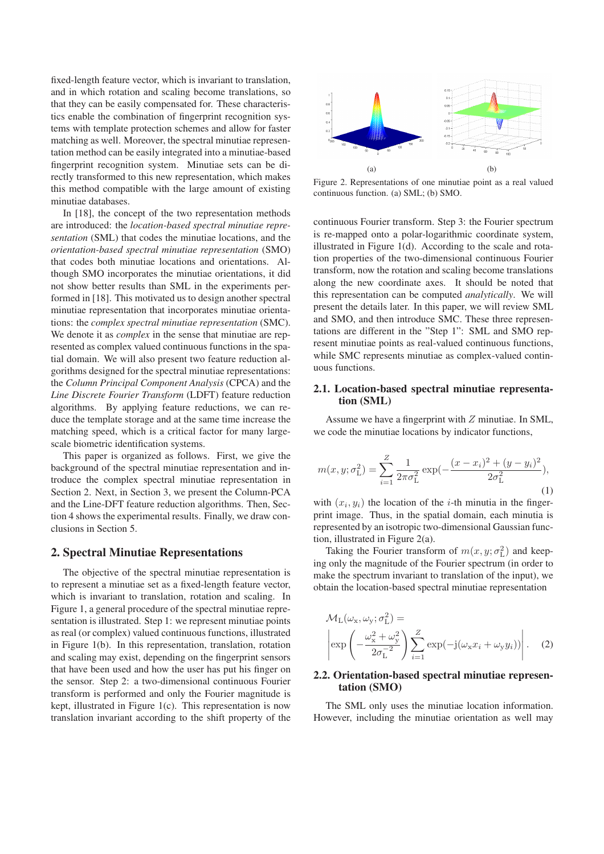fixed-length feature vector, which is invariant to translation, and in which rotation and scaling become translations, so that they can be easily compensated for. These characteristics enable the combination of fingerprint recognition systems with template protection schemes and allow for faster matching as well. Moreover, the spectral minutiae representation method can be easily integrated into a minutiae-based fingerprint recognition system. Minutiae sets can be directly transformed to this new representation, which makes this method compatible with the large amount of existing minutiae databases.

In [18], the concept of the two representation methods are introduced: the *location-based spectral minutiae representation* (SML) that codes the minutiae locations, and the *orientation-based spectral minutiae representation* (SMO) that codes both minutiae locations and orientations. Although SMO incorporates the minutiae orientations, it did not show better results than SML in the experiments performed in [18]. This motivated us to design another spectral minutiae representation that incorporates minutiae orientations: the *complex spectral minutiae representation* (SMC). We denote it as *complex* in the sense that minutiae are represented as complex valued continuous functions in the spatial domain. We will also present two feature reduction algorithms designed for the spectral minutiae representations: the *Column Principal Component Analysis* (CPCA) and the *Line Discrete Fourier Transform* (LDFT) feature reduction algorithms. By applying feature reductions, we can reduce the template storage and at the same time increase the matching speed, which is a critical factor for many largescale biometric identification systems.

This paper is organized as follows. First, we give the background of the spectral minutiae representation and introduce the complex spectral minutiae representation in Section 2. Next, in Section 3, we present the Column-PCA and the Line-DFT feature reduction algorithms. Then, Section 4 shows the experimental results. Finally, we draw conclusions in Section 5.

# **2. Spectral Minutiae Representations**

The objective of the spectral minutiae representation is to represent a minutiae set as a fixed-length feature vector, which is invariant to translation, rotation and scaling. In Figure 1, a general procedure of the spectral minutiae representation is illustrated. Step 1: we represent minutiae points as real (or complex) valued continuous functions, illustrated in Figure 1(b). In this representation, translation, rotation and scaling may exist, depending on the fingerprint sensors that have been used and how the user has put his finger on the sensor. Step 2: a two-dimensional continuous Fourier transform is performed and only the Fourier magnitude is kept, illustrated in Figure 1(c). This representation is now translation invariant according to the shift property of the



Figure 2. Representations of one minutiae point as a real valued continuous function. (a) SML; (b) SMO.

continuous Fourier transform. Step 3: the Fourier spectrum is re-mapped onto a polar-logarithmic coordinate system, illustrated in Figure 1(d). According to the scale and rotation properties of the two-dimensional continuous Fourier transform, now the rotation and scaling become translations along the new coordinate axes. It should be noted that this representation can be computed *analytically*. We will present the details later. In this paper, we will review SML and SMO, and then introduce SMC. These three representations are different in the "Step 1": SML and SMO represent minutiae points as real-valued continuous functions, while SMC represents minutiae as complex-valued continuous functions.

#### **2.1. Location-based spectral minutiae representation (SML)**

Assume we have a fingerprint with Z minutiae. In SML, we code the minutiae locations by indicator functions,

$$
m(x, y; \sigma_{\mathcal{L}}^2) = \sum_{i=1}^{Z} \frac{1}{2\pi\sigma_{\mathcal{L}}^2} \exp\left(-\frac{(x - x_i)^2 + (y - y_i)^2}{2\sigma_{\mathcal{L}}^2}\right),\tag{1}
$$

with  $(x_i, y_i)$  the location of the *i*-th minutia in the fingerprint image. Thus, in the spatial domain, each minutia is represented by an isotropic two-dimensional Gaussian function, illustrated in Figure 2(a).

Taking the Fourier transform of  $m(x, y; \sigma_{\text{L}}^2)$  and keep-<br>conly the magnitude of the Fourier spectrum (in order to ing only the magnitude of the Fourier spectrum (in order to make the spectrum invariant to translation of the input), we obtain the location-based spectral minutiae representation

$$
\mathcal{M}_{\mathcal{L}}(\omega_{\mathbf{x}}, \omega_{\mathbf{y}}; \sigma_{\mathcal{L}}^2) = \left| \exp\left( -\frac{\omega_{\mathbf{x}}^2 + \omega_{\mathbf{y}}^2}{2\sigma_{\mathcal{L}}^{-2}} \right) \sum_{i=1}^Z \exp(-j(\omega_{\mathbf{x}} x_i + \omega_{\mathbf{y}} y_i)) \right|.
$$
 (2)

## **2.2. Orientation-based spectral minutiae representation (SMO)**

The SML only uses the minutiae location information. However, including the minutiae orientation as well may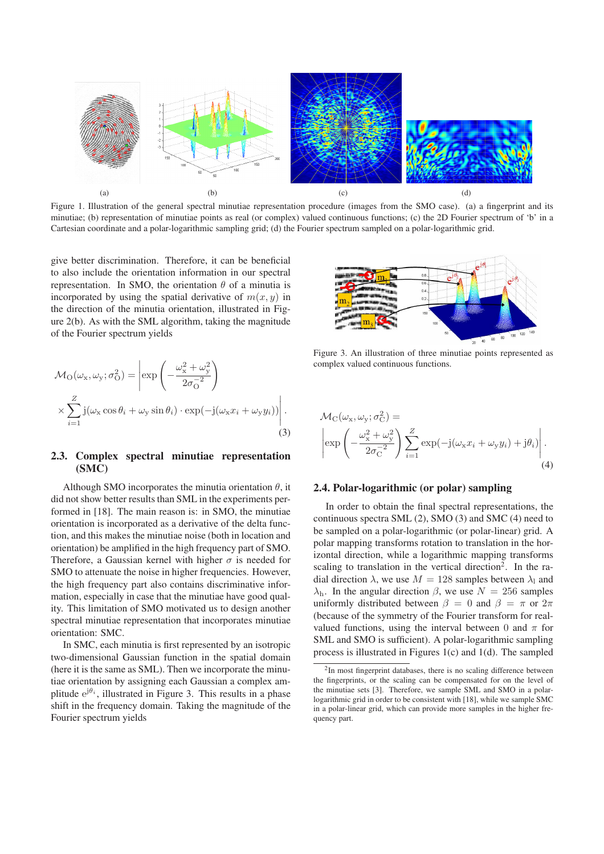

Figure 1. Illustration of the general spectral minutiae representation procedure (images from the SMO case). (a) a fingerprint and its minutiae; (b) representation of minutiae points as real (or complex) valued continuous functions; (c) the 2D Fourier spectrum of 'b' in a Cartesian coordinate and a polar-logarithmic sampling grid; (d) the Fourier spectrum sampled on a polar-logarithmic grid.

give better discrimination. Therefore, it can be beneficial to also include the orientation information in our spectral representation. In SMO, the orientation  $\theta$  of a minutia is incorporated by using the spatial derivative of  $m(x, y)$  in the direction of the minutia orientation, illustrated in Figure 2(b). As with the SML algorithm, taking the magnitude of the Fourier spectrum yields

$$
\mathcal{M}_{\mathcal{O}}(\omega_{\mathbf{x}}, \omega_{\mathbf{y}}; \sigma_{\mathcal{O}}^{2}) = \left| \exp\left( -\frac{\omega_{\mathbf{x}}^{2} + \omega_{\mathbf{y}}^{2}}{2\sigma_{\mathcal{O}}^{-2}} \right) \times \sum_{i=1}^{Z} \mathbf{j}(\omega_{\mathbf{x}} \cos \theta_{i} + \omega_{\mathbf{y}} \sin \theta_{i}) \cdot \exp(-\mathbf{j}(\omega_{\mathbf{x}} x_{i} + \omega_{\mathbf{y}} y_{i})) \right|.
$$
\n(3)

#### **2.3. Complex spectral minutiae representation (SMC)**

Although SMO incorporates the minutia orientation  $\theta$ , it did not show better results than SML in the experiments performed in [18]. The main reason is: in SMO, the minutiae orientation is incorporated as a derivative of the delta function, and this makes the minutiae noise (both in location and orientation) be amplified in the high frequency part of SMO. Therefore, a Gaussian kernel with higher  $\sigma$  is needed for SMO to attenuate the noise in higher frequencies. However, the high frequency part also contains discriminative information, especially in case that the minutiae have good quality. This limitation of SMO motivated us to design another spectral minutiae representation that incorporates minutiae orientation: SMC.

In SMC, each minutia is first represented by an isotropic two-dimensional Gaussian function in the spatial domain (here it is the same as SML). Then we incorporate the minutiae orientation by assigning each Gaussian a complex amplitude  $e^{j\theta_i}$ , illustrated in Figure 3. This results in a phase shift in the frequency domain. Taking the magnitude of the Fourier spectrum yields



Figure 3. An illustration of three minutiae points represented as complex valued continuous functions.

$$
\mathcal{M}_{\rm C}(\omega_{\rm x}, \omega_{\rm y}; \sigma_{\rm C}^2) = \left| \exp\left( -\frac{\omega_{\rm x}^2 + \omega_{\rm y}^2}{2\sigma_{\rm C}^{-2}} \right) \sum_{i=1}^{Z} \exp(-j(\omega_{\rm x}x_i + \omega_{\rm y}y_i) + j\theta_i) \right|.
$$
\n(4)

### **2.4. Polar-logarithmic (or polar) sampling**

In order to obtain the final spectral representations, the continuous spectra SML (2), SMO (3) and SMC (4) need to be sampled on a polar-logarithmic (or polar-linear) grid. A polar mapping transforms rotation to translation in the horizontal direction, while a logarithmic mapping transforms scaling to translation in the vertical direction<sup>2</sup>. In the radial direction  $\lambda$ , we use  $M = 128$  samples between  $\lambda_1$  and  $λ<sub>h</sub>$ . In the angular direction  $β$ , we use  $N = 256$  samples uniformly distributed between  $\beta = 0$  and  $\beta = \pi$  or  $2\pi$ (because of the symmetry of the Fourier transform for realvalued functions, using the interval between 0 and  $\pi$  for SML and SMO is sufficient). A polar-logarithmic sampling process is illustrated in Figures 1(c) and 1(d). The sampled

<sup>&</sup>lt;sup>2</sup>In most fingerprint databases, there is no scaling difference between the fingerprints, or the scaling can be compensated for on the level of the minutiae sets [3]. Therefore, we sample SML and SMO in a polarlogarithmic grid in order to be consistent with [18], while we sample SMC in a polar-linear grid, which can provide more samples in the higher frequency part.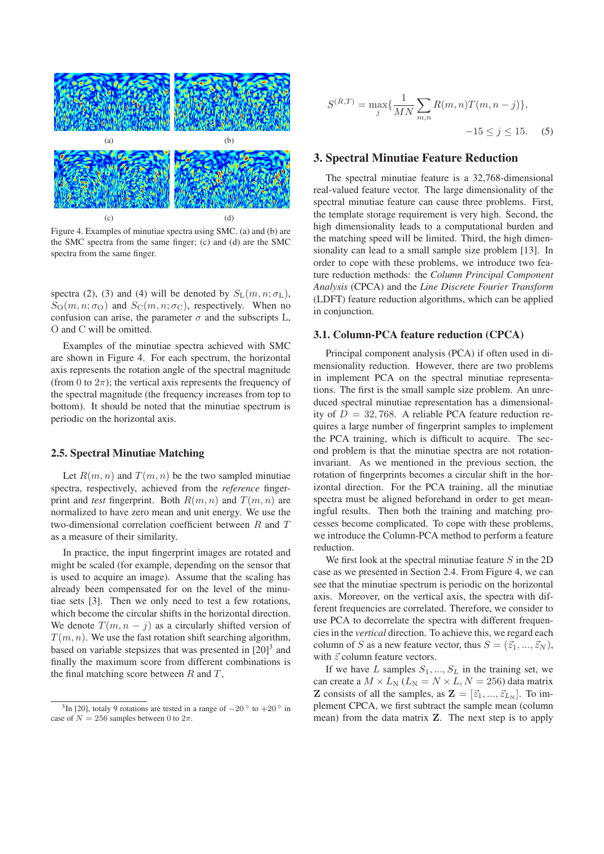

Figure 4. Examples of minutiae spectra using SMC. (a) and (b) are the SMC spectra from the same finger; (c) and (d) are the SMC spectra from the same finger.

spectra (2), (3) and (4) will be denoted by  $S_{\rm L}(m, n; \sigma_{\rm L}),$  $S_{\rm O}(m, n; \sigma_{\rm O})$  and  $S_{\rm C}(m, n; \sigma_{\rm C})$ , respectively. When no confusion can arise, the parameter  $\sigma$  and the subscripts L, O and C will be omitted.

Examples of the minutiae spectra achieved with SMC are shown in Figure 4. For each spectrum, the horizontal axis represents the rotation angle of the spectral magnitude (from 0 to  $2\pi$ ); the vertical axis represents the frequency of the spectral magnitude (the frequency increases from top to bottom). It should be noted that the minutiae spectrum is periodic on the horizontal axis.

## **2.5. Spectral Minutiae Matching**

Let  $R(m, n)$  and  $T(m, n)$  be the two sampled minutiae spectra, respectively, achieved from the *reference* fingerprint and *test* fingerprint. Both  $R(m, n)$  and  $T(m, n)$  are normalized to have zero mean and unit energy. We use the two-dimensional correlation coefficient between R and T as a measure of their similarity.

In practice, the input fingerprint images are rotated and might be scaled (for example, depending on the sensor that is used to acquire an image). Assume that the scaling has already been compensated for on the level of the minutiae sets [3]. Then we only need to test a few rotations, which become the circular shifts in the horizontal direction. We denote  $T(m, n - j)$  as a circularly shifted version of  $T(m, n)$ . We use the fast rotation shift searching algorithm, based on variable stepsizes that was presented in  $[20]<sup>3</sup>$  and finally the maximum score from different combinations is the final matching score between  $R$  and  $T$ ,

$$
S^{(R,T)} = \max_{j} \{ \frac{1}{MN} \sum_{m,n} R(m,n) T(m,n-j) \},
$$
  
-15 \le j \le 15. (5)

### **3. Spectral Minutiae Feature Reduction**

The spectral minutiae feature is a 32,768-dimensional real-valued feature vector. The large dimensionality of the spectral minutiae feature can cause three problems. First, the template storage requirement is very high. Second, the high dimensionality leads to a computational burden and the matching speed will be limited. Third, the high dimensionality can lead to a small sample size problem [13]. In order to cope with these problems, we introduce two feature reduction methods: the *Column Principal Component Analysis* (CPCA) and the *Line Discrete Fourier Transform* (LDFT) feature reduction algorithms, which can be applied in conjunction.

#### **3.1. Column-PCA feature reduction (CPCA)**

Principal component analysis (PCA) if often used in dimensionality reduction. However, there are two problems in implement PCA on the spectral minutiae representations. The first is the small sample size problem. An unreduced spectral minutiae representation has a dimensionality of  $D = 32,768$ . A reliable PCA feature reduction requires a large number of fingerprint samples to implement the PCA training, which is difficult to acquire. The second problem is that the minutiae spectra are not rotationinvariant. As we mentioned in the previous section, the rotation of fingerprints becomes a circular shift in the horizontal direction. For the PCA training, all the minutiae spectra must be aligned beforehand in order to get meaningful results. Then both the training and matching processes become complicated. To cope with these problems, we introduce the Column-PCA method to perform a feature reduction.

We first look at the spectral minutiae feature  $S$  in the 2D case as we presented in Section 2.4. From Figure 4, we can see that the minutiae spectrum is periodic on the horizontal axis. Moreover, on the vertical axis, the spectra with different frequencies are correlated. Therefore, we consider to use PCA to decorrelate the spectra with different frequencies in the *vertical* direction. To achieve this, we regard each column of S as a new feature vector, thus  $S = (\vec{z}_1, ..., \vec{z}_N)$ , with  $\vec{z}$  column feature vectors.

If we have L samples  $S_1, ..., S_L$  in the training set, we can create a  $M \times L_N$  ( $L_N = N \times L, N = 256$ ) data matrix **Z** consists of all the samples, as  $\mathbf{Z} = [\vec{z}_1, ..., \vec{z}_{L_N}]$ . To implement CPCA, we first subtract the sample mean (column mean) from the data matrix **Z**. The next step is to apply

<sup>&</sup>lt;sup>3</sup>In [20], totaly 9 rotations are tested in a range of  $-20^\circ$  to  $+20^\circ$  in case of  $N = 256$  samples between 0 to  $2\pi$ .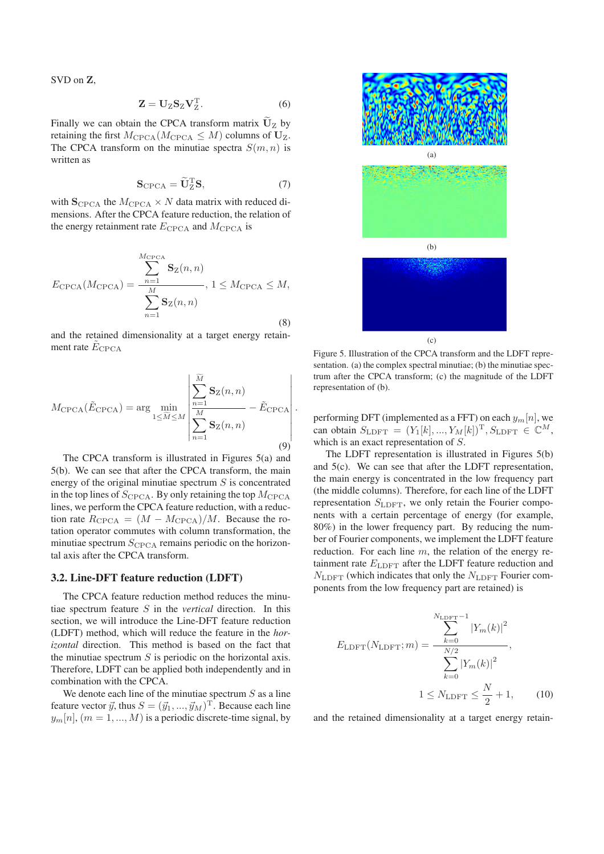SVD on **Z**,

$$
\mathbf{Z} = \mathbf{U}_{\mathbf{Z}} \mathbf{S}_{\mathbf{Z}} \mathbf{V}_{\mathbf{Z}}^{\mathrm{T}}.
$$
 (6)

Finally we can obtain the CPCA transform matrix  $\mathbf{U}_z$  by retaining the first  $M_{\text{CPCA}}(M_{\text{CPCA}} \leq M)$  columns of  $U_Z$ . The CPCA transform on the minutiae spectra  $S(m, n)$  is written as

$$
\mathbf{S}_{\text{CPCA}} = \widetilde{\mathbf{U}}_{\text{Z}}^{\text{T}} \mathbf{S},\tag{7}
$$

with  $\mathbf{S}_{\text{CPCA}}$  the  $M_{\text{CPCA}} \times N$  data matrix with reduced dimensions. After the CPCA feature reduction, the relation of the energy retainment rate  $E_{\text{CPCA}}$  and  $M_{\text{CPCA}}$  is

$$
E_{\text{CPCA}}(M_{\text{CPCA}}) = \frac{\sum_{n=1}^{M_{\text{CPCA}}}{\mathbf{S}_Z(n,n)}}{\sum_{n=1}^{M} \mathbf{S}_Z(n,n)}, 1 \leq M_{\text{CPCA}} \leq M,
$$
\n(8)

and the retained dimensionality at a target energy retainment rate  $E_{\text{CPCA}}$ 

$$
M_{\text{CPCA}}(\tilde{E}_{\text{CPCA}}) = \arg \min_{1 \leq \tilde{M} \leq M} \left| \frac{\sum_{n=1}^{\tilde{M}} \mathbf{S}_{\text{Z}}(n, n)}{\sum_{n=1}^{M} \mathbf{S}_{\text{Z}}(n, n)} - \tilde{E}_{\text{CPCA}} \right|.
$$
\n(9)

The CPCA transform is illustrated in Figures 5(a) and 5(b). We can see that after the CPCA transform, the main energy of the original minutiae spectrum  $S$  is concentrated in the top lines of  $S_{\text{CPCA}}$ . By only retaining the top  $M_{\text{CPCA}}$ lines, we perform the CPCA feature reduction, with a reduction rate  $R_{\text{CPCA}} = (M - M_{\text{CPCA}})/M$ . Because the rotation operator commutes with column transformation, the minutiae spectrum  $S_{\text{CPCA}}$  remains periodic on the horizontal axis after the CPCA transform.

#### **3.2. Line-DFT feature reduction (LDFT)**

The CPCA feature reduction method reduces the minutiae spectrum feature S in the *vertical* direction. In this section, we will introduce the Line-DFT feature reduction (LDFT) method, which will reduce the feature in the *horizontal* direction. This method is based on the fact that the minutiae spectrum  $S$  is periodic on the horizontal axis. Therefore, LDFT can be applied both independently and in combination with the CPCA.

We denote each line of the minutiae spectrum  $S$  as a line feature vector  $\vec{y}$ , thus  $S = (\vec{y}_1, ..., \vec{y}_M)^T$ . Because each line  $y_m[n], (m = 1, ..., M)$  is a periodic discrete-time signal, by



Figure 5. Illustration of the CPCA transform and the LDFT representation. (a) the complex spectral minutiae; (b) the minutiae spectrum after the CPCA transform; (c) the magnitude of the LDFT representation of (b).

performing DFT (implemented as a FFT) on each  $y_m[n]$ , we can obtain  $S_{\text{LDFT}} = (Y_1[k], ..., Y_M[k])^{\text{T}}, S_{\text{LDFT}} \in \mathbb{C}^M$ , which is an exact representation of S.

The LDFT representation is illustrated in Figures 5(b) and 5(c). We can see that after the LDFT representation, the main energy is concentrated in the low frequency part (the middle columns). Therefore, for each line of the LDFT representation  $S_{\text{LDFT}}$ , we only retain the Fourier components with a certain percentage of energy (for example, 80%) in the lower frequency part. By reducing the number of Fourier components, we implement the LDFT feature reduction. For each line  $m$ , the relation of the energy retainment rate  $E_{\text{LDFT}}$  after the LDFT feature reduction and  $N_{\text{LDFT}}$  (which indicates that only the  $N_{\text{LDFT}}$  Fourier components from the low frequency part are retained) is

$$
E_{\text{LDFT}}(N_{\text{LDFT}}; m) = \frac{\sum_{k=0}^{N_{\text{LDFT}}-1} |Y_m(k)|^2}{\sum_{k=0}^{N/2} |Y_m(k)|^2},
$$
  
1  $\leq$  N<sub>LDFT</sub>  $\leq \frac{N}{2} + 1,$  (10)

and the retained dimensionality at a target energy retain-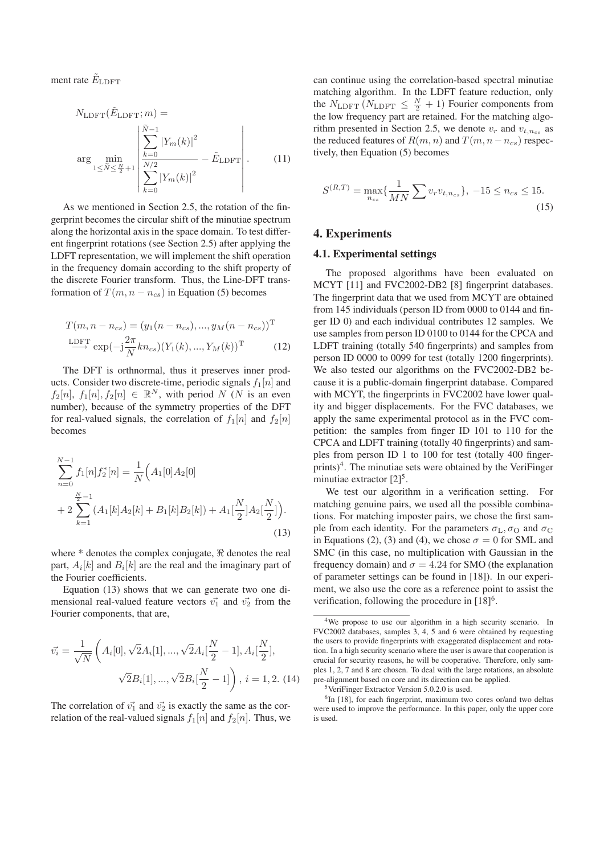ment rate  $E_{\text{LDFT}}$ 

$$
N_{\text{LDFT}}(\tilde{E}_{\text{LDFT}}; m) =
$$
  
arg min<sub>1 \le \tilde{N} \le \frac{N}{2} + 1  $\left| \sum_{\substack{k=0 \ 1 \le j \le k}}^{\tilde{N}-1} |Y_m(k)|^2 - \tilde{E}_{\text{LDFT}} \right|$ . (11)</sub>

As we mentioned in Section 2.5, the rotation of the fingerprint becomes the circular shift of the minutiae spectrum along the horizontal axis in the space domain. To test different fingerprint rotations (see Section 2.5) after applying the LDFT representation, we will implement the shift operation in the frequency domain according to the shift property of the discrete Fourier transform. Thus, the Line-DFT transformation of  $T(m, n - n_{cs})$  in Equation (5) becomes

$$
T(m, n - n_{cs}) = (y_1(n - n_{cs}), ..., y_M(n - n_{cs}))^{\mathrm{T}}
$$

$$
\xrightarrow{\mathrm{IDFT}} \exp(-j\frac{2\pi}{N}kn_{cs})(Y_1(k), ..., Y_M(k))^{\mathrm{T}}
$$
(12)

The DFT is orthnormal, thus it preserves inner products. Consider two discrete-time, periodic signals  $f_1[n]$  and  $f_2[n]$ ,  $f_1[n]$ ,  $f_2[n] \in \mathbb{R}^N$ , with period N (N is an even number), because of the symmetry properties of the DFT for real-valued signals, the correlation of  $f_1[n]$  and  $f_2[n]$ becomes

$$
\sum_{n=0}^{N-1} f_1[n] f_2^*[n] = \frac{1}{N} \Big( A_1[0] A_2[0] + 2 \sum_{k=1}^{\frac{N}{2}-1} (A_1[k] A_2[k] + B_1[k] B_2[k]) + A_1[\frac{N}{2}] A_2[\frac{N}{2}]\Big).
$$
\n(13)

where  $*$  denotes the complex conjugate,  $\Re$  denotes the real part,  $A_i[k]$  and  $B_i[k]$  are the real and the imaginary part of the Fourier coefficients.

Equation (13) shows that we can generate two one dimensional real-valued feature vectors  $\vec{v_1}$  and  $\vec{v_2}$  from the Fourier components, that are,

$$
\vec{v_i} = \frac{1}{\sqrt{N}} \left( A_i[0], \sqrt{2} A_i[1], ..., \sqrt{2} A_i[\frac{N}{2} - 1], A_i[\frac{N}{2}], \sqrt{2} B_i[1], ..., \sqrt{2} B_i[\frac{N}{2} - 1] \right), i = 1, 2.
$$
 (14)

The correlation of  $\vec{v_1}$  and  $\vec{v_2}$  is exactly the same as the correlation of the real-valued signals  $f_1[n]$  and  $f_2[n]$ . Thus, we can continue using the correlation-based spectral minutiae matching algorithm. In the LDFT feature reduction, only the  $N_{\text{LDFT}}$  ( $N_{\text{LDFT}} \leq \frac{N}{2} + 1$ ) Fourier components from<br>the low frequency part are retained. For the matching algothe low frequency part are retained. For the matching algorithm presented in Section 2.5, we denote  $v_r$  and  $v_{t,n_{cs}}$  as the reduced features of  $R(m, n)$  and  $T(m, n - n_{cs})$  respectively, then Equation (5) becomes

$$
S^{(R,T)} = \max_{n_{cs}} \{ \frac{1}{MN} \sum v_r v_{t,n_{cs}} \}, -15 \le n_{cs} \le 15.
$$
\n(15)

## **4. Experiments**

#### **4.1. Experimental settings**

The proposed algorithms have been evaluated on MCYT [11] and FVC2002-DB2 [8] fingerprint databases. The fingerprint data that we used from MCYT are obtained from 145 individuals (person ID from 0000 to 0144 and finger ID 0) and each individual contributes 12 samples. We use samples from person ID 0100 to 0144 for the CPCA and LDFT training (totally 540 fingerprints) and samples from person ID 0000 to 0099 for test (totally 1200 fingerprints). We also tested our algorithms on the FVC2002-DB2 because it is a public-domain fingerprint database. Compared with MCYT, the fingerprints in FVC2002 have lower quality and bigger displacements. For the FVC databases, we apply the same experimental protocol as in the FVC competition: the samples from finger ID 101 to 110 for the CPCA and LDFT training (totally 40 fingerprints) and samples from person ID 1 to 100 for test (totally 400 fingerprints)<sup>4</sup>. The minutiae sets were obtained by the VeriFinger minutiae extractor  $[2]^5$ .

We test our algorithm in a verification setting. For matching genuine pairs, we used all the possible combinations. For matching imposter pairs, we chose the first sample from each identity. For the parameters  $\sigma_{\rm L}, \sigma_{\rm O}$  and  $\sigma_{\rm C}$ in Equations (2), (3) and (4), we chose  $\sigma = 0$  for SML and SMC (in this case, no multiplication with Gaussian in the frequency domain) and  $\sigma = 4.24$  for SMO (the explanation of parameter settings can be found in [18]). In our experiment, we also use the core as a reference point to assist the verification, following the procedure in  $[18]$ <sup>6</sup>.

<sup>&</sup>lt;sup>4</sup>We propose to use our algorithm in a high security scenario. In FVC2002 databases, samples 3, 4, 5 and 6 were obtained by requesting the users to provide fingerprints with exaggerated displacement and rotation. In a high security scenario where the user is aware that cooperation is crucial for security reasons, he will be cooperative. Therefore, only samples 1, 2, 7 and 8 are chosen. To deal with the large rotations, an absolute pre-alignment based on core and its direction can be applied.

<sup>5</sup>VeriFinger Extractor Version 5.0.2.0 is used.

<sup>&</sup>lt;sup>6</sup>In [18], for each fingerprint, maximum two cores or/and two deltas were used to improve the performance. In this paper, only the upper core is used.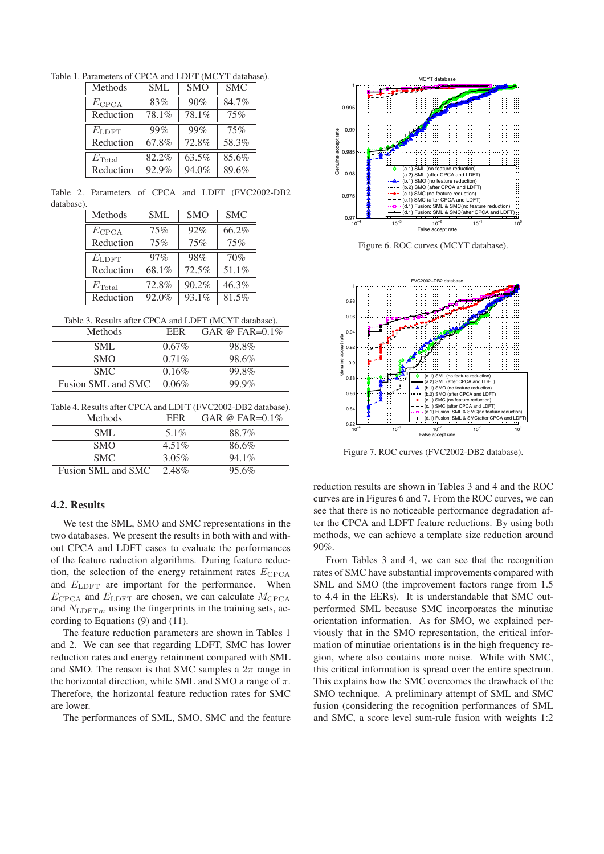Table 1. Parameters of CPCA and LDFT (MCYT database).

| Methods            | <b>SML</b> | <b>SMO</b> | <b>SMC</b> |
|--------------------|------------|------------|------------|
| $E_{\text{CPCA}}$  | 83%        | 90%        | 84.7%      |
| Reduction          | 78.1%      | 78.1%      | 75%        |
| $E_{\rm LDFT}$     | 99%        | 99%        | 75%        |
| Reduction          | 67.8%      | 72.8%      | 58.3%      |
| $E_{\text{Total}}$ | 82.2%      | 63.5%      | 85.6%      |
| Reduction          | 92.9%      | 94.0%      | 89.6%      |

Table 2. Parameters of CPCA and LDFT (FVC2002-DB2 database).

| Methods            | <b>SML</b> | <b>SMO</b> | <b>SMC</b> |
|--------------------|------------|------------|------------|
| $E_{\text{CPCA}}$  | 75%        | 92%        | 66.2%      |
| Reduction          | 75%        | 75%        | 75%        |
| $E_{\rm LDFT}$     | 97%        | 98%        | 70%        |
| Reduction          | 68.1%      | 72.5%      | 51.1%      |
| $E_{\text{Total}}$ | 72.8%      | 90.2%      | 46.3%      |
| Reduction          | 92.0%      | 93.1%      | 81.5%      |

Table 3. Results after CPCA and LDFT (MCYT database).

| Methods            | <b>EER</b> | GAR @ FAR= $0.1\%$ |
|--------------------|------------|--------------------|
| SML                | $0.67\%$   | 98.8%              |
| <b>SMO</b>         | $0.71\%$   | 98.6%              |
| SMC.               | 0.16%      | 99.8%              |
| Fusion SML and SMC | $0.06\%$   | 99.9%              |

Table 4. Results after CPCA and LDFT (FVC2002-DB2 database).

| Methods            | <b>EER</b> | GAR @ FAR= $0.1\%$ |
|--------------------|------------|--------------------|
| SML                | $5.1\%$    | 88.7%              |
| <b>SMO</b>         | $4.51\%$   | 86.6%              |
| SMC.               | $3.05\%$   | $94.1\%$           |
| Fusion SML and SMC | 2.48%      | 95.6%              |

# **4.2. Results**

We test the SML, SMO and SMC representations in the two databases. We present the results in both with and without CPCA and LDFT cases to evaluate the performances of the feature reduction algorithms. During feature reduction, the selection of the energy retainment rates  $E_{CPCA}$ and  $E_{\text{LDFT}}$  are important for the performance. When  $E_{\text{CPCA}}$  and  $E_{\text{LDFT}}$  are chosen, we can calculate  $M_{\text{CPCA}}$ and  $N_{\text{LDFT}m}$  using the fingerprints in the training sets, according to Equations (9) and (11).

The feature reduction parameters are shown in Tables 1 and 2. We can see that regarding LDFT, SMC has lower reduction rates and energy retainment compared with SML and SMO. The reason is that SMC samples a  $2\pi$  range in the horizontal direction, while SML and SMO a range of  $\pi$ . Therefore, the horizontal feature reduction rates for SMC are lower.

The performances of SML, SMO, SMC and the feature



Figure 6. ROC curves (MCYT database).



Figure 7. ROC curves (FVC2002-DB2 database).

reduction results are shown in Tables 3 and 4 and the ROC curves are in Figures 6 and 7. From the ROC curves, we can see that there is no noticeable performance degradation after the CPCA and LDFT feature reductions. By using both methods, we can achieve a template size reduction around 90%.

From Tables 3 and 4, we can see that the recognition rates of SMC have substantial improvements compared with SML and SMO (the improvement factors range from 1.5 to 4.4 in the EERs). It is understandable that SMC outperformed SML because SMC incorporates the minutiae orientation information. As for SMO, we explained perviously that in the SMO representation, the critical information of minutiae orientations is in the high frequency region, where also contains more noise. While with SMC, this critical information is spread over the entire spectrum. This explains how the SMC overcomes the drawback of the SMO technique. A preliminary attempt of SML and SMC fusion (considering the recognition performances of SML and SMC, a score level sum-rule fusion with weights 1:2